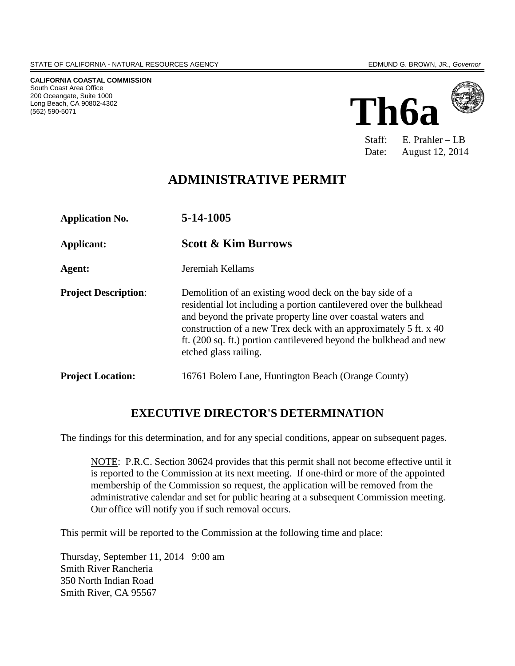**CALIFORNIA COASTAL COMMISSION** South Coast Area Office 200 Oceangate, Suite 1000 Long Beach, CA 90802-4302 (562) 590-5071



Staff: E. Prahler – LB Date: August 12, 2014

## **ADMINISTRATIVE PERMIT**

**Application No. 5-14-1005 Applicant: Scott & Kim Burrows Agent:** Jeremiah Kellams **Project Description:** Demolition of an existing wood deck on the bay side of a residential lot including a portion cantilevered over the bulkhead and beyond the private property line over coastal waters and construction of a new Trex deck with an approximately 5 ft. x 40 ft. (200 sq. ft.) portion cantilevered beyond the bulkhead and new etched glass railing. **Project Location:** 16761 Bolero Lane, Huntington Beach (Orange County)

## **EXECUTIVE DIRECTOR'S DETERMINATION**

The findings for this determination, and for any special conditions, appear on subsequent pages.

NOTE: P.R.C. Section 30624 provides that this permit shall not become effective until it is reported to the Commission at its next meeting. If one-third or more of the appointed membership of the Commission so request, the application will be removed from the administrative calendar and set for public hearing at a subsequent Commission meeting. Our office will notify you if such removal occurs.

This permit will be reported to the Commission at the following time and place:

Thursday, September 11, 2014 9:00 am Smith River Rancheria 350 North Indian Road Smith River, CA 95567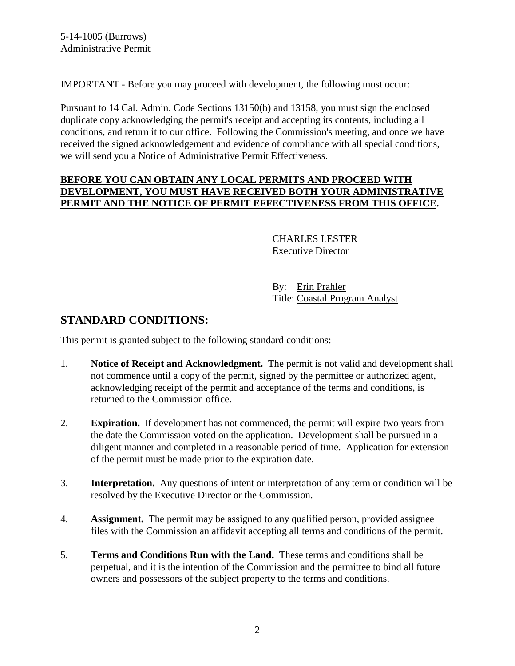#### IMPORTANT - Before you may proceed with development, the following must occur:

Pursuant to 14 Cal. Admin. Code Sections 13150(b) and 13158, you must sign the enclosed duplicate copy acknowledging the permit's receipt and accepting its contents, including all conditions, and return it to our office. Following the Commission's meeting, and once we have received the signed acknowledgement and evidence of compliance with all special conditions, we will send you a Notice of Administrative Permit Effectiveness.

#### **BEFORE YOU CAN OBTAIN ANY LOCAL PERMITS AND PROCEED WITH DEVELOPMENT, YOU MUST HAVE RECEIVED BOTH YOUR ADMINISTRATIVE PERMIT AND THE NOTICE OF PERMIT EFFECTIVENESS FROM THIS OFFICE.**

#### CHARLES LESTER Executive Director

 By: Erin Prahler Title: Coastal Program Analyst

## **STANDARD CONDITIONS:**

This permit is granted subject to the following standard conditions:

- 1. **Notice of Receipt and Acknowledgment.** The permit is not valid and development shall not commence until a copy of the permit, signed by the permittee or authorized agent, acknowledging receipt of the permit and acceptance of the terms and conditions, is returned to the Commission office.
- 2. **Expiration.** If development has not commenced, the permit will expire two years from the date the Commission voted on the application. Development shall be pursued in a diligent manner and completed in a reasonable period of time. Application for extension of the permit must be made prior to the expiration date.
- 3. **Interpretation.** Any questions of intent or interpretation of any term or condition will be resolved by the Executive Director or the Commission.
- 4. **Assignment.** The permit may be assigned to any qualified person, provided assignee files with the Commission an affidavit accepting all terms and conditions of the permit.
- 5. **Terms and Conditions Run with the Land.** These terms and conditions shall be perpetual, and it is the intention of the Commission and the permittee to bind all future owners and possessors of the subject property to the terms and conditions.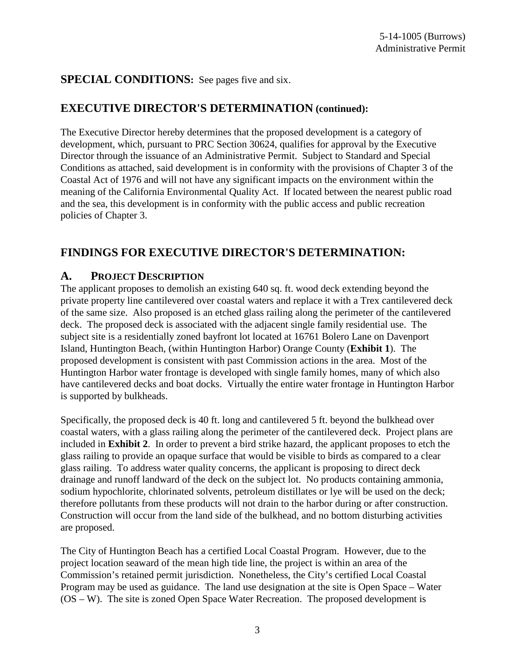## **SPECIAL CONDITIONS:** See pages five and six.

## **EXECUTIVE DIRECTOR'S DETERMINATION (continued):**

The Executive Director hereby determines that the proposed development is a category of development, which, pursuant to PRC Section 30624, qualifies for approval by the Executive Director through the issuance of an Administrative Permit. Subject to Standard and Special Conditions as attached, said development is in conformity with the provisions of Chapter 3 of the Coastal Act of 1976 and will not have any significant impacts on the environment within the meaning of the California Environmental Quality Act. If located between the nearest public road and the sea, this development is in conformity with the public access and public recreation policies of Chapter 3.

## **FINDINGS FOR EXECUTIVE DIRECTOR'S DETERMINATION:**

## **A. PROJECT DESCRIPTION**

The applicant proposes to demolish an existing 640 sq. ft. wood deck extending beyond the private property line cantilevered over coastal waters and replace it with a Trex cantilevered deck of the same size. Also proposed is an etched glass railing along the perimeter of the cantilevered deck. The proposed deck is associated with the adjacent single family residential use. The subject site is a residentially zoned bayfront lot located at 16761 Bolero Lane on Davenport Island, Huntington Beach, (within Huntington Harbor) Orange County (**Exhibit 1**). The proposed development is consistent with past Commission actions in the area. Most of the Huntington Harbor water frontage is developed with single family homes, many of which also have cantilevered decks and boat docks. Virtually the entire water frontage in Huntington Harbor is supported by bulkheads.

Specifically, the proposed deck is 40 ft. long and cantilevered 5 ft. beyond the bulkhead over coastal waters, with a glass railing along the perimeter of the cantilevered deck. Project plans are included in **Exhibit 2**. In order to prevent a bird strike hazard, the applicant proposes to etch the glass railing to provide an opaque surface that would be visible to birds as compared to a clear glass railing. To address water quality concerns, the applicant is proposing to direct deck drainage and runoff landward of the deck on the subject lot. No products containing ammonia, sodium hypochlorite, chlorinated solvents, petroleum distillates or lye will be used on the deck; therefore pollutants from these products will not drain to the harbor during or after construction. Construction will occur from the land side of the bulkhead, and no bottom disturbing activities are proposed.

The City of Huntington Beach has a certified Local Coastal Program. However, due to the project location seaward of the mean high tide line, the project is within an area of the Commission's retained permit jurisdiction. Nonetheless, the City's certified Local Coastal Program may be used as guidance. The land use designation at the site is Open Space – Water (OS – W). The site is zoned Open Space Water Recreation. The proposed development is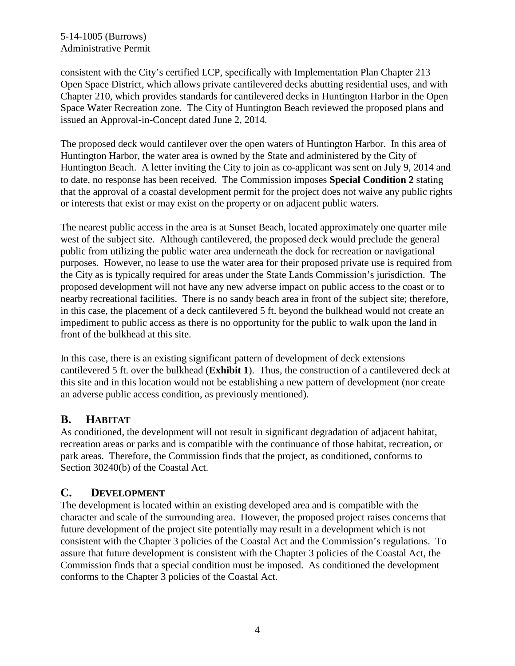#### 5-14-1005 (Burrows) Administrative Permit

consistent with the City's certified LCP, specifically with Implementation Plan Chapter 213 Open Space District, which allows private cantilevered decks abutting residential uses, and with Chapter 210, which provides standards for cantilevered decks in Huntington Harbor in the Open Space Water Recreation zone. The City of Huntington Beach reviewed the proposed plans and issued an Approval-in-Concept dated June 2, 2014.

The proposed deck would cantilever over the open waters of Huntington Harbor. In this area of Huntington Harbor, the water area is owned by the State and administered by the City of Huntington Beach. A letter inviting the City to join as co-applicant was sent on July 9, 2014 and to date, no response has been received. The Commission imposes **Special Condition 2** stating that the approval of a coastal development permit for the project does not waive any public rights or interests that exist or may exist on the property or on adjacent public waters.

The nearest public access in the area is at Sunset Beach, located approximately one quarter mile west of the subject site. Although cantilevered, the proposed deck would preclude the general public from utilizing the public water area underneath the dock for recreation or navigational purposes. However, no lease to use the water area for their proposed private use is required from the City as is typically required for areas under the State Lands Commission's jurisdiction. The proposed development will not have any new adverse impact on public access to the coast or to nearby recreational facilities. There is no sandy beach area in front of the subject site; therefore, in this case, the placement of a deck cantilevered 5 ft. beyond the bulkhead would not create an impediment to public access as there is no opportunity for the public to walk upon the land in front of the bulkhead at this site.

In this case, there is an existing significant pattern of development of deck extensions cantilevered 5 ft. over the bulkhead (**Exhibit 1**). Thus, the construction of a cantilevered deck at this site and in this location would not be establishing a new pattern of development (nor create an adverse public access condition, as previously mentioned).

## **B. HABITAT**

As conditioned, the development will not result in significant degradation of adjacent habitat, recreation areas or parks and is compatible with the continuance of those habitat, recreation, or park areas. Therefore, the Commission finds that the project, as conditioned, conforms to Section 30240(b) of the Coastal Act.

## **C. DEVELOPMENT**

The development is located within an existing developed area and is compatible with the character and scale of the surrounding area. However, the proposed project raises concerns that future development of the project site potentially may result in a development which is not consistent with the Chapter 3 policies of the Coastal Act and the Commission's regulations. To assure that future development is consistent with the Chapter 3 policies of the Coastal Act, the Commission finds that a special condition must be imposed. As conditioned the development conforms to the Chapter 3 policies of the Coastal Act.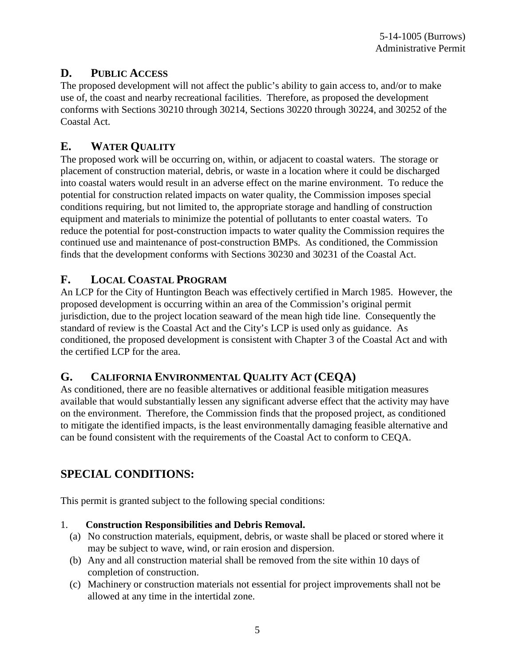# **D. PUBLIC ACCESS**

The proposed development will not affect the public's ability to gain access to, and/or to make use of, the coast and nearby recreational facilities. Therefore, as proposed the development conforms with Sections 30210 through 30214, Sections 30220 through 30224, and 30252 of the Coastal Act.

# **E. WATER QUALITY**

The proposed work will be occurring on, within, or adjacent to coastal waters. The storage or placement of construction material, debris, or waste in a location where it could be discharged into coastal waters would result in an adverse effect on the marine environment. To reduce the potential for construction related impacts on water quality, the Commission imposes special conditions requiring, but not limited to, the appropriate storage and handling of construction equipment and materials to minimize the potential of pollutants to enter coastal waters. To reduce the potential for post-construction impacts to water quality the Commission requires the continued use and maintenance of post-construction BMPs. As conditioned, the Commission finds that the development conforms with Sections 30230 and 30231 of the Coastal Act.

## **F. LOCAL COASTAL PROGRAM**

An LCP for the City of Huntington Beach was effectively certified in March 1985. However, the proposed development is occurring within an area of the Commission's original permit jurisdiction, due to the project location seaward of the mean high tide line. Consequently the standard of review is the Coastal Act and the City's LCP is used only as guidance. As conditioned, the proposed development is consistent with Chapter 3 of the Coastal Act and with the certified LCP for the area.

## **G. CALIFORNIA ENVIRONMENTAL QUALITY ACT (CEQA)**

As conditioned, there are no feasible alternatives or additional feasible mitigation measures available that would substantially lessen any significant adverse effect that the activity may have on the environment. Therefore, the Commission finds that the proposed project, as conditioned to mitigate the identified impacts, is the least environmentally damaging feasible alternative and can be found consistent with the requirements of the Coastal Act to conform to CEQA.

# **SPECIAL CONDITIONS:**

This permit is granted subject to the following special conditions:

#### 1. **Construction Responsibilities and Debris Removal.**

- (a) No construction materials, equipment, debris, or waste shall be placed or stored where it may be subject to wave, wind, or rain erosion and dispersion.
- (b) Any and all construction material shall be removed from the site within 10 days of completion of construction.
- (c) Machinery or construction materials not essential for project improvements shall not be allowed at any time in the intertidal zone.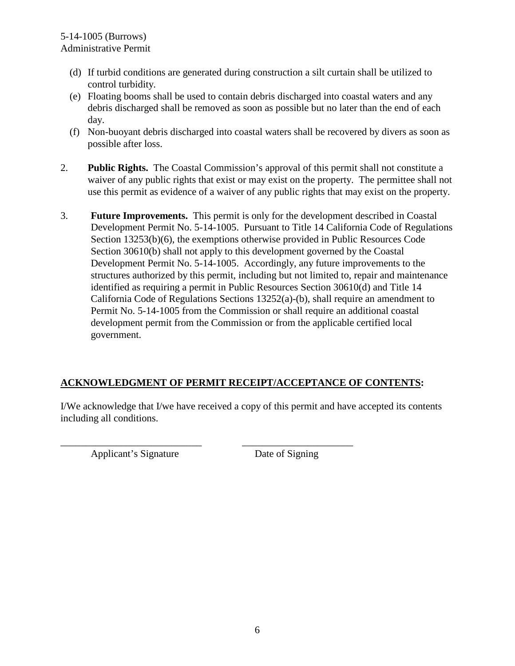- (d) If turbid conditions are generated during construction a silt curtain shall be utilized to control turbidity.
- (e) Floating booms shall be used to contain debris discharged into coastal waters and any debris discharged shall be removed as soon as possible but no later than the end of each day.
- (f) Non-buoyant debris discharged into coastal waters shall be recovered by divers as soon as possible after loss.
- 2. **Public Rights.** The Coastal Commission's approval of this permit shall not constitute a waiver of any public rights that exist or may exist on the property. The permittee shall not use this permit as evidence of a waiver of any public rights that may exist on the property.
- 3. **Future Improvements.** This permit is only for the development described in Coastal Development Permit No. 5-14-1005. Pursuant to Title 14 California Code of Regulations Section 13253(b)(6), the exemptions otherwise provided in Public Resources Code Section 30610(b) shall not apply to this development governed by the Coastal Development Permit No. 5-14-1005. Accordingly, any future improvements to the structures authorized by this permit, including but not limited to, repair and maintenance identified as requiring a permit in Public Resources Section 30610(d) and Title 14 California Code of Regulations Sections 13252(a)-(b), shall require an amendment to Permit No. 5-14-1005 from the Commission or shall require an additional coastal development permit from the Commission or from the applicable certified local government.

## **ACKNOWLEDGMENT OF PERMIT RECEIPT/ACCEPTANCE OF CONTENTS:**

\_\_\_\_\_\_\_\_\_\_\_\_\_\_\_\_\_\_\_\_\_\_\_\_\_\_\_\_ \_\_\_\_\_\_\_\_\_\_\_\_\_\_\_\_\_\_\_\_\_\_

I/We acknowledge that I/we have received a copy of this permit and have accepted its contents including all conditions.

Applicant's Signature Date of Signing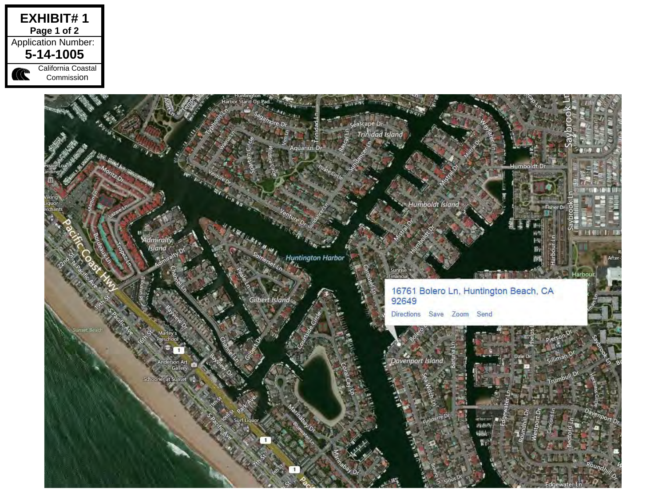

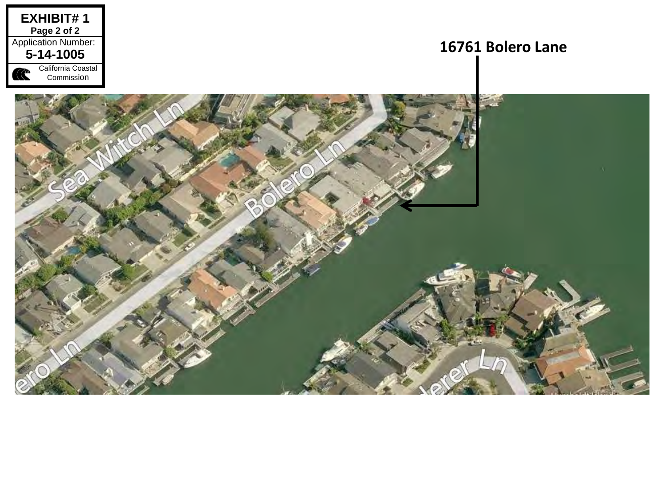

# **16761 Bolero Lane**

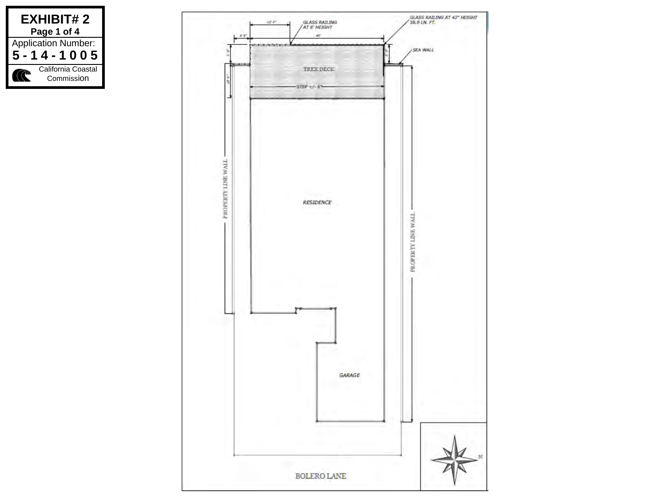

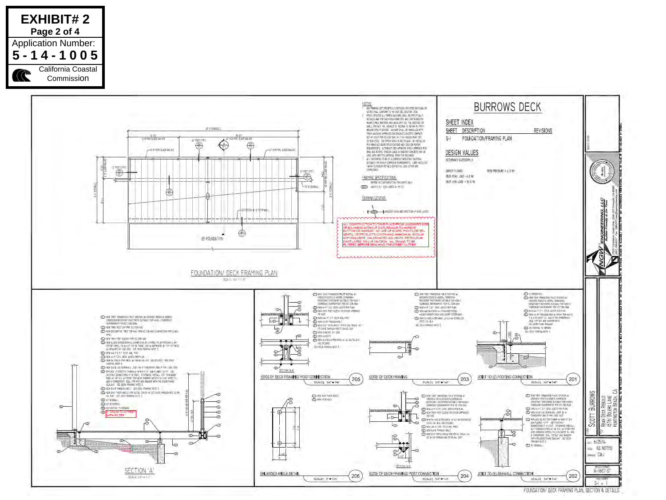

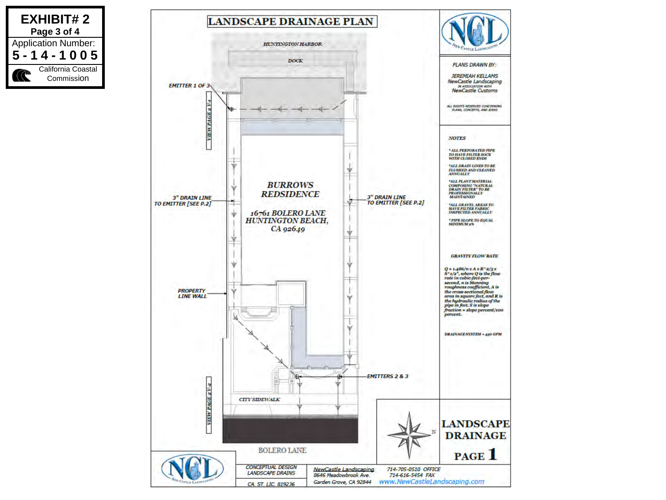